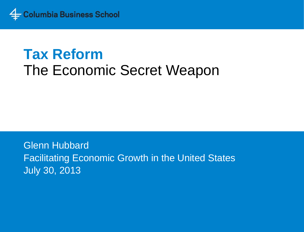

## **Tax Reform** The Economic Secret Weapon

Glenn Hubbard Facilitating Economic Growth in the United States July 30, 2013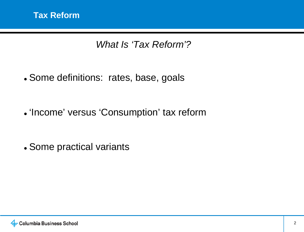*What Is 'Tax Reform'?*

- Some definitions: rates, base, goals
- 'Income' versus 'Consumption' tax reform

• Some practical variants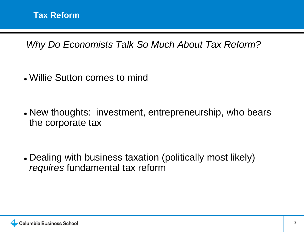*Why Do Economists Talk So Much About Tax Reform?*

• Willie Sutton comes to mind

• New thoughts: investment, entrepreneurship, who bears the corporate tax

• Dealing with business taxation (politically most likely) *requires* fundamental tax reform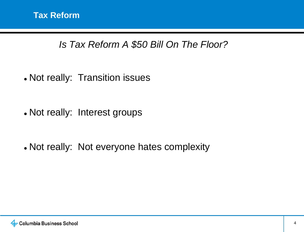## *Is Tax Reform A \$50 Bill On The Floor?*

• Not really: Transition issues

• Not really: Interest groups

• Not really: Not everyone hates complexity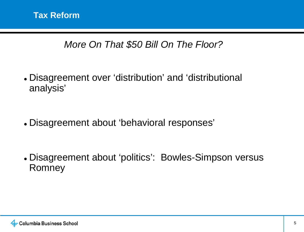## *More On That \$50 Bill On The Floor?*

• Disagreement over 'distribution' and 'distributional analysis'

• Disagreement about 'behavioral responses'

• Disagreement about 'politics': Bowles-Simpson versus Romney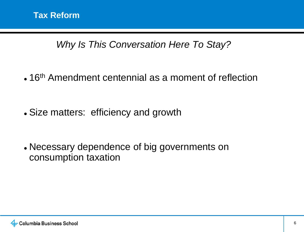*Why Is This Conversation Here To Stay?*

 $\bullet$  16<sup>th</sup> Amendment centennial as a moment of reflection

• Size matters: efficiency and growth

• Necessary dependence of big governments on consumption taxation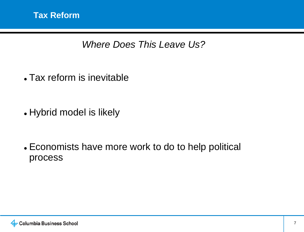*Where Does This Leave Us?*

• Tax reform is inevitable

• Hybrid model is likely

• Economists have more work to do to help political process